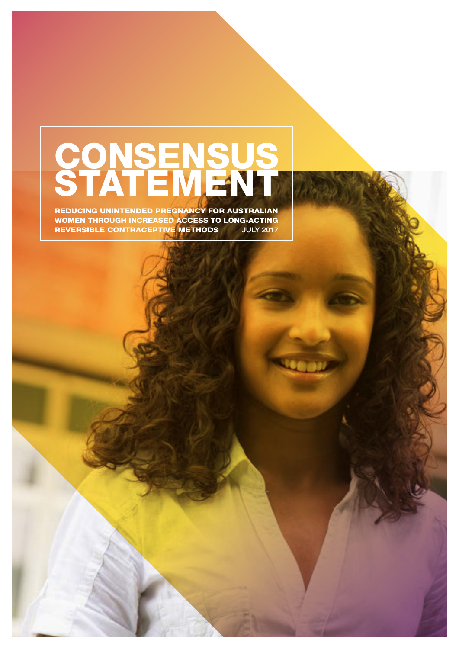# **CONSENSUS** STATEMENT

REDUCING UNINTENDED PREGNANCY FOR AUSTRALIAN WOMEN THROUGH INCREASED ACCESS TO LONG-ACTING REVERSIBLE CONTRACEPTIVE METHODS JULY 2017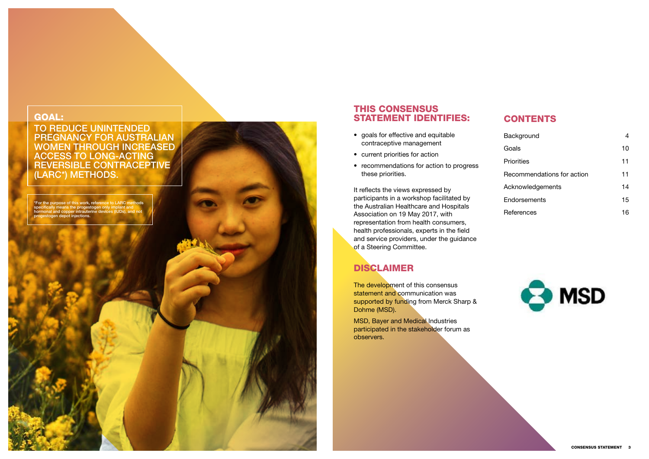### GOAL:

TO REDUCE UNINTENDED PREGNANCY FOR AUSTRALIAN WOMEN THROUGH INCREASED ACCESS TO LONG-ACTING REVERSIBLE CONTRACEPTIVE (LARC\*) METHODS.

# THIS CONSENSUS STATEMENT IDENTIFIES:

- goals for effective and equitable contraceptive management
- current priorities for action
- recommendations for action to progress these priorities.

It reflects the views expressed by participants in a workshop facilitated by the Australian Healthcare and Hospitals Association on 19 May 2017, with representation from health consumers, health professionals, experts in the field and service providers, under the guidance of a Steering Committee.

\*For the purpose of this work, reference to LARC methods specifically means the progestogen only implant and hormonal and copper intrauterine devices (IUDs), and not progestogen depot injections.

# DISCLAIMER

The development of this consensus statement and communication was supported by funding from Merck Sharp & Dohme (MSD).

MSD, Bayer and Medical Industries participated in the stakeholder forum as observers.

# **CONTENTS**

| Background                 | 4  |
|----------------------------|----|
| Goals                      | 10 |
| <b>Priorities</b>          | 11 |
| Recommendations for action | 11 |
| Acknowledgements           | 14 |
| Endorsements               | 15 |
| References                 | 16 |
|                            |    |

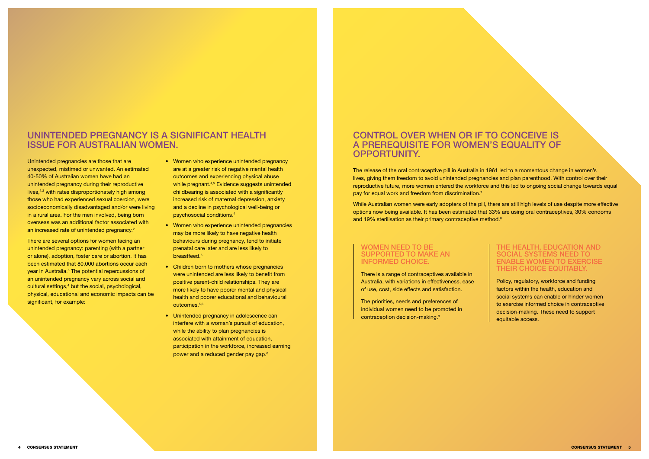Unintended pregnancies are those that are unexpected, mistimed or unwanted. An estimated 40-50% of Australian women have had an unintended pregnancy during their reproductive lives, $1,2$  with rates disproportionately high among those who had experienced sexual coercion, were socioeconomically disadvantaged and/or were living in a rural area. For the men involved, being born overseas was an additional factor associated with an increased rate of unintended pregnancy.<sup>2</sup>

# UNINTENDED PREGNANCY IS A SIGNIFICANT HEALTH ISSUE FOR AUSTRALIAN WOMEN.

There are several options for women facing an unintended pregnancy: parenting (with a partner or alone), adoption, foster care or abortion. It has been estimated that 80,000 abortions occur each year in Australia.<sup>3</sup> The potential repercussions of an unintended pregnancy vary across social and cultural settings,<sup>4</sup> but the social, psychological, physical, educational and economic impacts can be significant, for example:

- Women who experience unintended pregnancy are at a greater risk of negative mental health outcomes and experiencing physical abuse while pregnant.<sup>4,5</sup> Evidence suggests unintended childbearing is associated with a significantly increased risk of maternal depression, anxiety and a decline in psychological well-being or psychosocial conditions.4
- Women who experience unintended pregnancies may be more likely to have negative health behaviours during pregnancy, tend to initiate prenatal care later and are less likely to breastfeed.5
- Children born to mothers whose pregnancies were unintended are less likely to benefit from positive parent-child relationships. They are more likely to have poorer mental and physical health and poorer educational and behavioural outcomes.5,6
- Unintended pregnancy in adolescence can interfere with a woman's pursuit of education, while the ability to plan pregnancies is associated with attainment of education, participation in the workforce, increased earning power and a reduced gender pay gap.6

While Australian women were early adopters of the pill, there are still high levels of use despite more effective options now being available. It has been estimated that 33% are using oral contraceptives, 30% condoms and 19% sterilisation as their primary contraceptive method.<sup>8</sup>

# CONTROL OVER WHEN OR IF TO CONCEIVE IS A PREREQUISITE FOR WOMEN'S EQUALITY OF OPPORTUNITY.

The release of the oral contraceptive pill in Australia in 1961 led to a momentous change in women's lives, giving them freedom to avoid unintended pregnancies and plan parenthood. With control over their reproductive future, more women entered the workforce and this led to ongoing social change towards equal pay for equal work and freedom from discrimination.7

#### WOMEN NEED TO BE SUPPORTED TO MAKE AN INFORMED CHOICE.

There is a range of contraceptives available in Australia, with variations in effectiveness, ease of use, cost, side effects and satisfaction.

The priorities, needs and preferences of individual women need to be promoted in contraception decision-making.9

#### THE HEALTH, EDUCATION AND SOCIAL SYSTEMS NEED TO ENABLE WOMEN TO EXERCISE THEIR CHOICE EQUITABLY.

Policy, regulatory, workforce and funding factors within the health, education and social systems can enable or hinder women to exercise informed choice in contraceptive decision-making. These need to support equitable access.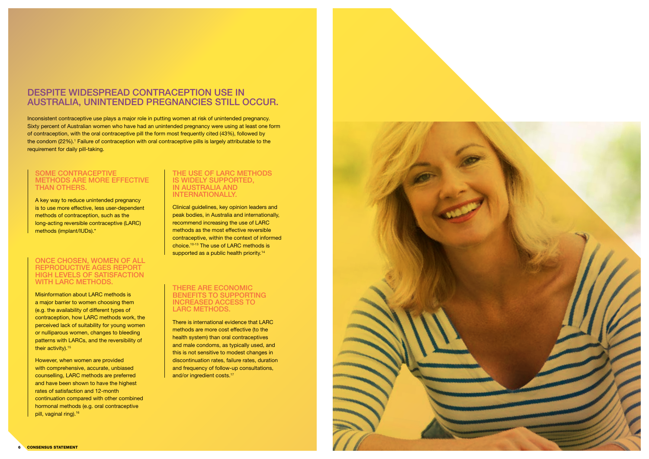

# DESPITE WIDESPREAD CONTRACEPTION USE IN AUSTRALIA, UNINTENDED PREGNANCIES STILL OCCUR.

Inconsistent contraceptive use plays a major role in putting women at risk of unintended pregnancy. Sixty percent of Australian women who have had an unintended pregnancy were using at least one form of contraception, with the oral contraceptive pill the form most frequently cited (43%), followed by the condom (22%). 1 Failure of contraception with oral contraceptive pills is largely attributable to the requirement for daily pill-taking.

#### THE USE OF LARC METHODS IS WIDELY SUPPORTED, IN AUSTRALIA AND INTERNATIONALLY.

Clinical guidelines, key opinion leaders and peak bodies, in Australia and internationally, recommend increasing the use of LARC methods as the most effective reversible contraceptive, within the context of informed choice.10-13 The use of LARC methods is supported as a public health priority.<sup>14</sup>

#### SOME CONTRACEPTIVE METHODS ARE MORE EFFECTIVE THAN OTHERS.

Misinformation about LARC methods is a major barrier to women choosing them (e.g. the availability of different types of contraception, how LARC methods work, the perceived lack of suitability for young women or nulliparous women, changes to bleeding patterns with LARCs, and the reversibility of their activity).<sup>15</sup>

A key way to reduce unintended pregnancy is to use more effective, less user-dependent methods of contraception, such as the long-acting reversible contraceptive (LARC) methods (implant/IUDs).\*

However, when women are provided with comprehensive, accurate, unbiased counselling, LARC methods are preferred and have been shown to have the highest rates of satisfaction and 12-month continuation compared with other combined hormonal methods (e.g. oral contraceptive pill, vaginal ring).<sup>16</sup>

There is international evidence that LARC methods are more cost effective (to the health system) than oral contraceptives and male condoms, as typically used, and this is not sensitive to modest changes in discontinuation rates, failure rates, duration and frequency of follow-up consultations, and/or ingredient costs.<sup>17</sup>



#### ONCE CHOSEN, WOMEN OF ALL REPRODUCTIVE AGES REPORT HIGH LEVELS OF SATISFACTION WITH LARC METHODS.

#### THERE ARE ECONOMIC BENEFITS TO SUPPORTING INCREASED ACCESS TO LARC METHODS.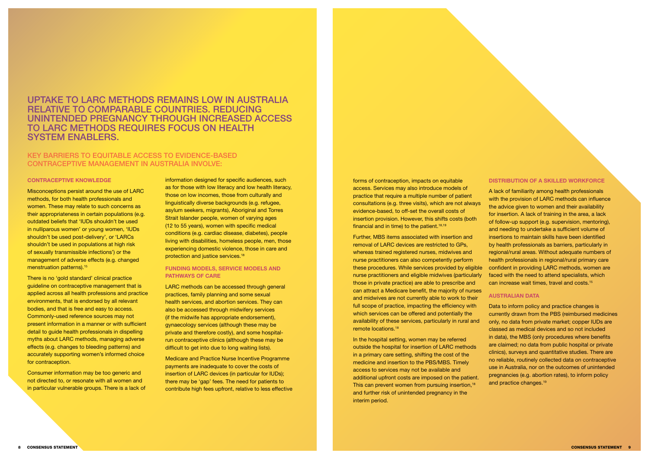# UPTAKE TO LARC METHODS REMAINS LOW IN AUSTRALIA RELATIVE TO COMPARABLE COUNTRIES. REDUCING UNINTENDED PREGNANCY THROUGH INCREASED ACCESS TO LARC METHODS REQUIRES FOCUS ON HEALTH SYSTEM ENABLERS.

### KEY BARRIERS TO EQUITABLE ACCESS TO EVIDENCE-BASED CONTRACEPTIVE MANAGEMENT IN AUSTRALIA INVOLVE:

#### CONTRACEPTIVE KNOWLEDGE

Misconceptions persist around the use of LARC methods, for both health professionals and women. These may relate to such concerns as their appropriateness in certain populations (e.g. outdated beliefs that 'IUDs shouldn't be used in nulliparous women' or young women, 'IUDs shouldn't be used post-delivery', or 'LARCs shouldn't be used in populations at high risk of sexually transmissible infections') or the management of adverse effects (e.g. changed menstruation patterns).15

There is no 'gold standard' clinical practice guideline on contraceptive management that is applied across all health professions and practice environments, that is endorsed by all relevant bodies, and that is free and easy to access. Commonly-used reference sources may not present information in a manner or with sufficient detail to quide health professionals in dispelling myths about LARC methods, managing adverse effects (e.g. changes to bleeding patterns) and accurately supporting women's informed choice for contraception.

forms of contraception, impacts on equitable access. Services may also introduce models of practice that require a multiple number of patient consultations (e.g. three visits), which are not always evidence-based, to off-set the overall costs of insertion provision. However, this shifts costs (both financial and in time) to the patient.<sup>18,19</sup>

Consumer information may be too generic and not directed to, or resonate with all women and in particular vulnerable groups. There is a lack of information designed for specific audiences, such as for those with low literacy and low health literacy, those on low incomes, those from culturally and linguistically diverse backgrounds (e.g. refugee, asylum seekers, migrants), Aboriginal and Torres Strait Islander people, women of varying ages (12 to 55 years), women with specific medical conditions (e.g. cardiac disease, diabetes), people living with disabilities, homeless people, men, those experiencing domestic violence, those in care and protection and justice services.18

#### FUNDING MODELS, SERVICE MODELS AND PATHWAYS OF CARE

LARC methods can be accessed through general practices, family planning and some sexual health services, and abortion services. They can also be accessed through midwifery services (if the midwife has appropriate endorsement), gynaecology services (although these may be private and therefore costly), and some hospitalrun contraceptive clinics (although these may be difficult to get into due to long waiting lists).

Data to inform policy and practice changes is currently drawn from the PBS (reimbursed medicines only, no data from private market; copper IUDs are classed as medical devices and so not included in data), the MBS (only procedures where benefits are claimed; no data from public hospital or private clinics), surveys and quantitative studies. There are no reliable, routinely collected data on contraceptive use in Australia, nor on the outcomes of unintended pregnancies (e.g. abortion rates), to inform policy and practice changes.<sup>19</sup>

Medicare and Practice Nurse Incentive Programme payments are inadequate to cover the costs of insertion of LARC devices (in particular for IUDs); there may be 'gap' fees. The need for patients to contribute high fees upfront, relative to less effective Further, MBS items associated with insertion and removal of LARC devices are restricted to GPs, whereas trained registered nurses, midwives and nurse practitioners can also competently perform these procedures. While services provided by eligible nurse practitioners and eligible midwives (particularly those in private practice) are able to prescribe and can attract a Medicare benefit, the majority of nurses and midwives are not currently able to work to their full scope of practice, impacting the efficiency with which services can be offered and potentially the availability of these services, particularly in rural and remote locations.18

In the hospital setting, women may be referred outside the hospital for insertion of LARC methods in a primary care setting, shifting the cost of the medicine and insertion to the PBS/MBS. Timely access to services may not be available and additional upfront costs are imposed on the patient. This can prevent women from pursuing insertion.<sup>18</sup> and further risk of unintended pregnancy in the interim period.

#### DISTRIBUTION OF A SKILLED WORKFORCE

A lack of familiarity among health professionals with the provision of LARC methods can influence the advice given to women and their availability for insertion. A lack of training in the area, a lack of follow-up support (e.g. supervision, mentoring), and needing to undertake a sufficient volume of insertions to maintain skills have been identified by health professionals as barriers, particularly in regional/rural areas. Without adequate numbers of health professionals in regional/rural primary care confident in providing LARC methods, women are faced with the need to attend specialists, which can increase wait times, travel and costs.15

#### AUSTRALIAN DATA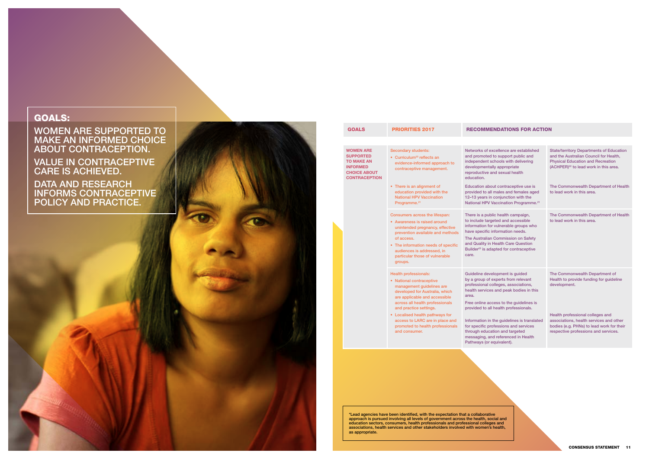

| excellence are established<br>d to support public and<br>schools with delivering<br>ally appropriate<br>and sexual health                                                            | <b>State/territory Departments of Education</b><br>and the Australian Council for Health,<br><b>Physical Education and Recreation</b><br>(ACHPER) <sup>22</sup> to lead work in this area. |
|--------------------------------------------------------------------------------------------------------------------------------------------------------------------------------------|--------------------------------------------------------------------------------------------------------------------------------------------------------------------------------------------|
| out contraceptive use is<br>Il males and females aged<br>n conjunction with the<br>Vaccination Programme. <sup>21</sup>                                                              | The Commonwealth Department of Health<br>to lead work in this area.                                                                                                                        |
| blic health campaign,<br>geted and accessible<br>or vulnerable groups who<br>information needs.<br>n Commission on Safety<br><b>Health Care Question</b><br>dapted for contraceptive | The Commonwealth Department of Health<br>to lead work in this area.                                                                                                                        |
| elopment is guided<br>experts from relevant<br>colleges, associations,<br>es and peak bodies in this<br>ccess to the quidelines is                                                   | The Commonwealth Department of<br>Health to provide funding for guideline<br>development.                                                                                                  |
| Il health professionals.<br>n the guidelines is translated<br>rofessions and services<br>ation and targeted<br>nd referenced in Health<br>equivalent).                               | Health professional colleges and<br>associations, health services and other<br>bodies (e.g. PHNs) to lead work for their<br>respective professions and services.                           |

# GOALS:

WOMEN ARE SUPPORTED TO MAKE AN INFORMED CHOICE ABOUT CONTRACEPTION.

VALUE IN CONTRACEPTIVE CARE IS ACHIEVED.

DATA AND RESEARCH INFORMS CONTRACEPTIVE POLICY AND PRACTICE.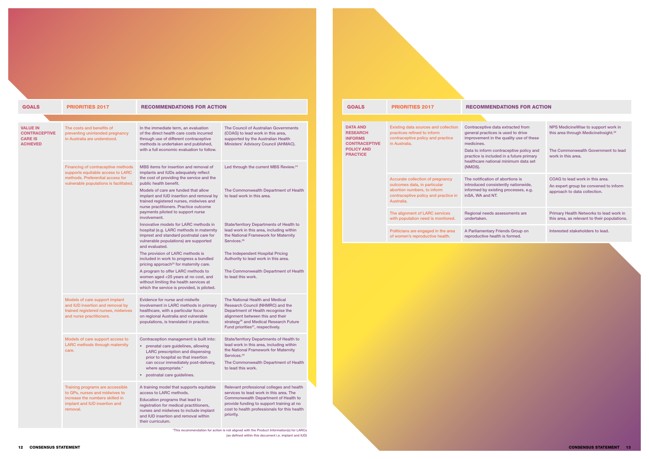DATA AND RESEARCH INFORMS **CONTRACEPTIVE** POLICY AND PRACTICE Existing data sources and collection Contraceptive data extracted from practices refined to inform contraceptive policy and practice in Australia. general pract improvement medicines. Data to inform practice is inc healthcare nat (NMDS). Accurate collection of pregnancy outcomes data, in particular abortion numbers, to inform contraceptive policy and practice in Australia. The notification introduced co informed by e. inSA, WA and The alignment of LARC services with population need is monitored. Regional need undertaken. Politicians are engaged in the area of women's reproductive health. A Parliamenta reproductive is GOALS PRIORITIES 2017 RECOMMENDATIONS FOR ACTION

| e data extracted from<br>ices is used to drive<br>in the quality use of these       | NPS Medicine Wise to support work in<br>this area through Medicinelnsight. <sup>29</sup>                 |
|-------------------------------------------------------------------------------------|----------------------------------------------------------------------------------------------------------|
| n contraceptive policy and<br>cluded in a future primary<br>tional minimum data set | The Commonwealth Government to lead<br>work in this area.                                                |
| on of abortions is<br>onsistently nationwide,<br>existing processes, e.g.<br>I NT.  | COAG to lead work in this area.<br>An expert group be convened to inform<br>approach to data collection. |
| ds assessments are                                                                  | Primary Health Networks to lead work in<br>this area, as relevant to their populations.                  |
| ary Friends Group on<br>health is formed.                                           | Interested stakeholders to lead.                                                                         |

| <b>GOALS</b>                                                          | <b>PRIORITIES 2017</b>                                                                                                                                | <b>RECOMMENDATIONS FOR ACTION</b>                                                                                                                                                                                                                                 |                                                                                                                                                                                                                                                      |
|-----------------------------------------------------------------------|-------------------------------------------------------------------------------------------------------------------------------------------------------|-------------------------------------------------------------------------------------------------------------------------------------------------------------------------------------------------------------------------------------------------------------------|------------------------------------------------------------------------------------------------------------------------------------------------------------------------------------------------------------------------------------------------------|
|                                                                       |                                                                                                                                                       |                                                                                                                                                                                                                                                                   |                                                                                                                                                                                                                                                      |
| VALUE IN<br><b>CONTRACEPTIVE</b><br><b>CARE IS</b><br><b>ACHIEVED</b> | The costs and benefits of<br>preventing unintended pregnancy<br>in Australia are understood.                                                          | In the immediate term, an evaluation<br>of the direct health care costs incurred<br>through use of different contraceptive<br>methods is undertaken and published,<br>with a full economic evaluation to follow.                                                  | The Council of Australian Governments<br>(COAG) to lead work in this area,<br>supported by the Australian Health<br>Ministers' Advisory Council (AHMAC).                                                                                             |
|                                                                       | Financing of contraceptive methods<br>supports equitable access to LARC<br>methods. Preferential access for<br>vulnerable populations is facilitated. | MBS items for insertion and removal of<br>implants and IUDs adequately reflect<br>the cost of providing the service and the<br>public health benefit.                                                                                                             | Led through the current MBS Review. <sup>24</sup>                                                                                                                                                                                                    |
|                                                                       |                                                                                                                                                       | Models of care are funded that allow<br>implant and IUD insertion and removal by<br>trained registered nurses, midwives and<br>nurse practitioners. Practice outcome<br>payments piloted to support nurse<br>involvement.                                         | The Commonwealth Department of Health<br>to lead work in this area.                                                                                                                                                                                  |
|                                                                       |                                                                                                                                                       | Innovative models for LARC methods in<br>hospital (e.g. LARC methods in maternity<br>imprest and standard postnatal care for<br>vulnerable populations) are supported<br>and evaluated.                                                                           | <b>State/territory Departments of Health to</b><br>lead work in this area, including within<br>the National Framework for Maternity<br>Services. <sup>28</sup>                                                                                       |
|                                                                       |                                                                                                                                                       | The provision of LARC methods is<br>included in work to progress a bundled<br>pricing approach <sup>25</sup> for maternity care.                                                                                                                                  | The Independent Hospital Pricing<br>Authority to lead work in this area.                                                                                                                                                                             |
|                                                                       |                                                                                                                                                       | A program to offer LARC methods to<br>women aged <25 years at no cost, and<br>without limiting the health services at<br>which the service is provided, is piloted.                                                                                               | The Commonwealth Department of Health<br>to lead this work.                                                                                                                                                                                          |
|                                                                       | Models of care support implant<br>and IUD insertion and removal by<br>trained registered nurses, midwives<br>and nurse practitioners.                 | Evidence for nurse and midwife<br>involvement in LARC methods in primary<br>healthcare, with a particular focus<br>on regional Australia and vulnerable<br>populations, is translated in practice.                                                                | The National Health and Medical<br>Research Council (NHMRC) and the<br>Department of Health recognise the<br>alignment between this and their<br>strategy <sup>26</sup> and Medical Research Future<br>Fund priorities <sup>27</sup> , respectively. |
|                                                                       | Models of care support access to<br><b>LARC</b> methods through maternity<br>care.                                                                    | Contraception management is built into:<br>prenatal care guidelines, allowing<br>٠<br><b>LARC</b> prescription and dispensing<br>prior to hospital so that insertion<br>can occur immediately post-delivery,<br>where appropriate.*<br>postnatal care guidelines. | <b>State/territory Departments of Health to</b><br>lead work in this area, including within<br>the National Framework for Maternity<br>Services. <sup>29</sup><br>The Commonwealth Department of Health<br>to lead this work.                        |
|                                                                       | Training programs are accessible<br>to GPs, nurses and midwives to<br>increase the numbers skilled in<br>implant and IUD insertion and<br>removal.    | A training model that supports equitable<br>access to LARC methods.<br>Education programs that lead to<br>registration for medical practitioners,<br>nurses and midwives to include implant<br>and IUD insertion and removal within<br>their curriculum.          | Relevant professional colleges and health<br>services to lead work in this area. The<br><b>Commonwealth Department of Health to</b><br>provide funding to support training at no<br>cost to health professionals for this health<br>priority.        |

\*This recommendation for action is not aligned with the Product Information(s) for LARCs (as defined within this document i.e. implant and IUD)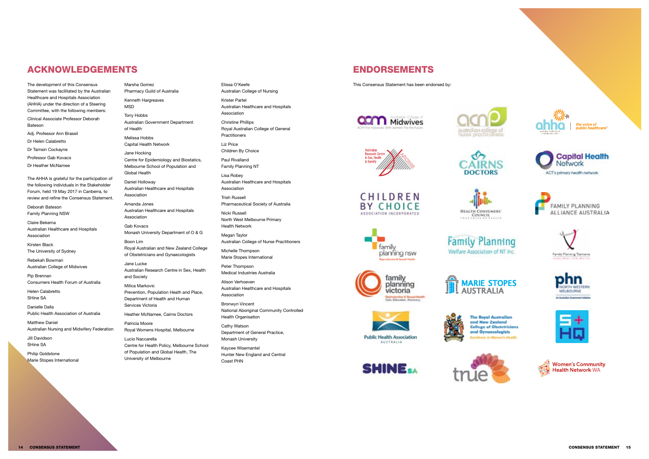# ACKNOWLEDGEMENTS

The development of this Consensus Statement was facilitated by the Australian Healthcare and Hospitals Association (AHHA) under the direction of a Steering Committee, with the following members: Clinical Associate Professor Deborah Bateson Adj. Professor Ann Brassil Dr Helen Calabretto

Dr Tamsin Cockayne

Professor Gab Kovacs

Dr Heather McNamee

Philip Goldstone Marie Stopes International

The AHHA is grateful for the participation of the following individuals in the Stakeholder Forum, held 19 May 2017 in Canberra, to review and refine the Consensus Statement.

Deborah Bateson Family Planning NSW

Claire Bekema Australian Healthcare and Hospitals Association

Kirsten Black The University of Sydney

Rebekah Bowman Australian College of Midwives

Pip Brennan Consumers Health Forum of Australia

Helen Calabretto SHine SA

Danielle Dalla Public Health Association of Australia

Matthew Daniel Australian Nursing and Midwifery Federation

Jill Davidson SHine SA

Marsha Gomez Pharmacy Guild of Australia

Kenneth Hargreaves MSD

Tony Hobbs Australian Government Department of Health

Melissa Hobbs Capital Health Network

Jane Hocking Centre for Epidemiology and Biostatics, Melbourne School of Population and

Global Health Daniel Holloway

Australian Healthcare and Hospitals Association

Amanda Jones Australian Healthcare and Hospitals Association

Gab Kovacs Monash University Department of O & G

Boon Lim Royal Australian and New Zealand College of Obstetricians and Gynaecologists

Jane Lucke Australian Research Centre in Sex, Health and Society

Milica Markovic Prevention, Population Heath and Place, Department of Health and Human Services Victoria

Heather McNamee, Cairns Doctors

Patricia Moore Royal Womens Hospital, Melbourne

Lucio Naccarella Centre for Health Policy, Melbourne School of Population and Global Health, The University of Melbourne

Elissa O'Keefe Australian College of Nursing

Krister Partel Australian Healthcare and Hospitals Association

Christine Phillips Royal Australian College of General Practitioners

Liz Price Children By Choice

Paul Rivalland Family Planning NT

Lisa Robey Australian Healthcare and Hospitals Association

Trish Russell Pharmaceutical Society of Australia

Nicki Russell North West Melbourne Primary Health Network

Megan Taylor Australian College of Nurse Practitioners

Michelle Thompson Marie Stopes International

Peter Thompson Medical Industries Australia

Alison Verhoeven Australian Healthcare and Hospitals Association

Bronwyn Vincent National Aboriginal Community Controlled Health Organisation

Cathy Watson Department of General Practice, Monash University

Kaycee Wisemantel Hunter New England and Central Coast PHN

# ENDORSEMENTS

This Consensus Statement has been endorsed by:



CHILDREN **BY CHOICE** 

**ASSOCIATION INCORPORATED** 







**Family Planning** Welfare Association of NT Inc.



**SHINE** 

family

planning nsw





and New Zealand













**The Royal Australian College of Obstetricians** and Gynaecologists . In Missource's Abuselts





the voice of<br>public healthcare











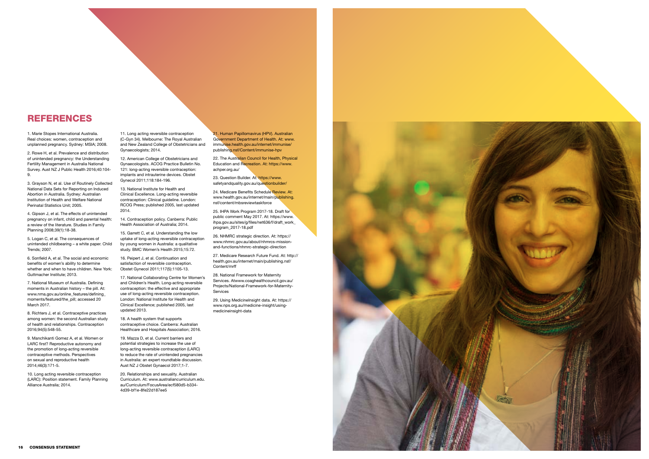

1. Marie Stopes International Australia. Real choices: women, contraception and unplanned pregnancy. Sydney: MSIA; 2008.

2. Rowe H, et al. Prevalence and distribution of unintended pregnancy: the Understanding Fertility Management in Australia National Survey. Aust NZ J Public Health 2016;40:104- 9.

3. Grayson N, et al. Use of Routinely Collected National Data Sets for Reporting on Induced Abortion in Australia. Sydney: Australian Institution of Health and Welfare National Perinatal Statistics Unit; 2005.

4. Gipson J, et al. The effects of unintended pregnancy on infant, child and parental health: a review of the literature. Studies in Family Planning 2008;39(1):18-38.

5. Logan C, et al. The consequences of unintended childbearing – a white paper. Child Trends; 2007.

6. Sonfield A, et al. The social and economic benefits of women's ability to determine whether and when to have children. New York: Guttmacher Institute; 2013.

7. National Museum of Australia. Defining moments in Australian history – the pill. At: www.nma.gov.au/online\_features/defining moments/featured/the\_pill; accessed 20 March 2017.

8. Richters J, et al. Contraceptive practices among women: the second Australian study of health and relationships. Contraception 2016;94(5):548-55.

9. Manchikanti Gomez A, et al. Women or LARC first? Reproductive autonomy and the promotion of long-acting reversible contraceptive methods. Perspectives on sexual and reproductive health 2014;46(3):171-5.

10. Long acting reversible contraception (LARC): Position statement. Family Planning Alliance Australia; 2014.

11. Long acting reversible contraception (C-Gyn 34). Melbourne: The Royal Australian and New Zealand College of Obstetricians and Gynaecologists; 2014.

12. American College of Obstetricians and Gynaecologists. ACOG Practice Bulletin No. 121: long-acting reversible contraception: implants and intrauterine devices. Obstet Gynecol 2011;118:184-196.

> 24. Medicare Benefits Schedule Review. At: www.health.gov.au/internet/main/publishing. nsf/content/mbsreviewtaskforce

13. National Institute for Health and Clinical Excellence. Long-acting reversible contraception: Clinical guideline. London: RCOG Press; published 2005, last updated 2014.

14. Contraception policy. Canberra: Public Health Association of Australia; 2014.

15. Garrett C, et al. Understanding the low uptake of long-acting reversible contraception by young women in Australia: a qualitative study. BMC Women's Health 2015;15:72.

16. Peipert J, et al. Continuation and satisfaction of reversible contraception. Obstet Gynecol 2011;117(5):1105-13.

17. National Collaborating Centre for Women's and Children's Health. Long-acting reversible contraception: the effective and appropriate use of long-acting reversible contraception. London: National Institute for Health and Clinical Excellence; published 2005, last updated 2013.

18. A health system that supports contraceptive choice. Canberra: Australian Healthcare and Hospitals Association; 2016.

19. Mazza D, et al. Current barriers and potential strategies to increase the use of long-acting reversible contraception (LARC) to reduce the rate of unintended pregnancies in Australia: an expert roundtable discussion. Aust NZ J Obstet Gynaecol 2017;1-7.

20. Relationships and sexuality. Australian Curriculum. At: www.australiancurriculum.edu. au/Curriculum/FocusArea/ecf580d5-b334- 4d39-bf1e-8fe22d187ee5

21. Human Papillomavirus (HPV). Australian Government Department of Health. At: www. immunise.health.gov.au/internet/immunise/ publishing.nsf/Content/immunise-hpv

22. The Australian Council for Health, Physical Education and Recreation. At: https://www. achper.org.au/

23. Question Builder. At: https://www. safetyandquality.gov.au/questionbuilder/

25. IHPA Work Program 2017-18. Draft for public comment May 2017. At: https://www. ihpa.gov.au/sites/g/files/net636/f/draft\_work\_ program\_2017-18.pdf

26. NHMRC strategic direction. At: https:// www.nhmrc.gov.au/about/nhmrcs-missionand-functions/nhmrc-strategic-direction

27. Medicare Research Future Fund. At: http:// health.gov.au/internet/main/publishing.nsf/ Content/mrff

28. National Framework for Maternity Services. Atwww.coaghealthcouncil.gov.au/ Projects/National-Framework-for-Maternity-Services

29. Using MedicineInsight data. At: https:// www.nps.org.au/medicine-insight/usingmedicineinsight-data

# REFERENCES